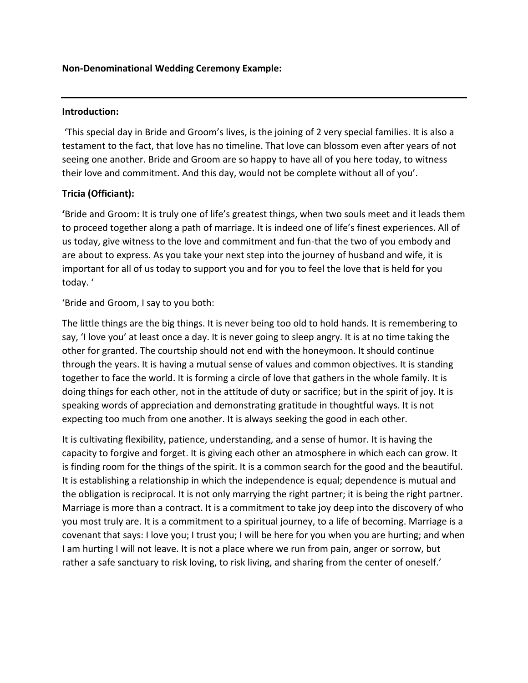#### **Non-Denominational Wedding Ceremony Example:**

#### **Introduction:**

'This special day in Bride and Groom's lives, is the joining of 2 very special families. It is also a testament to the fact, that love has no timeline. That love can blossom even after years of not seeing one another. Bride and Groom are so happy to have all of you here today, to witness their love and commitment. And this day, would not be complete without all of you'.

#### **Tricia (Officiant):**

**'**Bride and Groom: It is truly one of life's greatest things, when two souls meet and it leads them to proceed together along a path of marriage. It is indeed one of life's finest experiences. All of us today, give witness to the love and commitment and fun-that the two of you embody and are about to express. As you take your next step into the journey of husband and wife, it is important for all of us today to support you and for you to feel the love that is held for you today. '

'Bride and Groom, I say to you both:

The little things are the big things. It is never being too old to hold hands. It is remembering to say, 'I love you' at least once a day. It is never going to sleep angry. It is at no time taking the other for granted. The courtship should not end with the honeymoon. It should continue through the years. It is having a mutual sense of values and common objectives. It is standing together to face the world. It is forming a circle of love that gathers in the whole family. It is doing things for each other, not in the attitude of duty or sacrifice; but in the spirit of joy. It is speaking words of appreciation and demonstrating gratitude in thoughtful ways. It is not expecting too much from one another. It is always seeking the good in each other.

It is cultivating flexibility, patience, understanding, and a sense of humor. It is having the capacity to forgive and forget. It is giving each other an atmosphere in which each can grow. It is finding room for the things of the spirit. It is a common search for the good and the beautiful. It is establishing a relationship in which the independence is equal; dependence is mutual and the obligation is reciprocal. It is not only marrying the right partner; it is being the right partner. Marriage is more than a contract. It is a commitment to take joy deep into the discovery of who you most truly are. It is a commitment to a spiritual journey, to a life of becoming. Marriage is a covenant that says: I love you; I trust you; I will be here for you when you are hurting; and when I am hurting I will not leave. It is not a place where we run from pain, anger or sorrow, but rather a safe sanctuary to risk loving, to risk living, and sharing from the center of oneself.'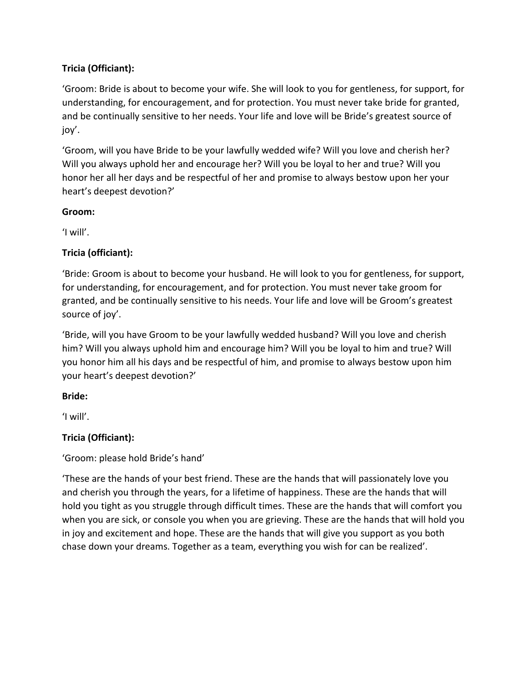# **Tricia (Officiant):**

'Groom: Bride is about to become your wife. She will look to you for gentleness, for support, for understanding, for encouragement, and for protection. You must never take bride for granted, and be continually sensitive to her needs. Your life and love will be Bride's greatest source of joy'.

'Groom, will you have Bride to be your lawfully wedded wife? Will you love and cherish her? Will you always uphold her and encourage her? Will you be loyal to her and true? Will you honor her all her days and be respectful of her and promise to always bestow upon her your heart's deepest devotion?'

#### **Groom:**

'I will'.

# **Tricia (officiant):**

'Bride: Groom is about to become your husband. He will look to you for gentleness, for support, for understanding, for encouragement, and for protection. You must never take groom for granted, and be continually sensitive to his needs. Your life and love will be Groom's greatest source of joy'.

'Bride, will you have Groom to be your lawfully wedded husband? Will you love and cherish him? Will you always uphold him and encourage him? Will you be loyal to him and true? Will you honor him all his days and be respectful of him, and promise to always bestow upon him your heart's deepest devotion?'

# **Bride:**

'I will'.

# **Tricia (Officiant):**

'Groom: please hold Bride's hand'

'These are the hands of your best friend. These are the hands that will passionately love you and cherish you through the years, for a lifetime of happiness. These are the hands that will hold you tight as you struggle through difficult times. These are the hands that will comfort you when you are sick, or console you when you are grieving. These are the hands that will hold you in joy and excitement and hope. These are the hands that will give you support as you both chase down your dreams. Together as a team, everything you wish for can be realized'.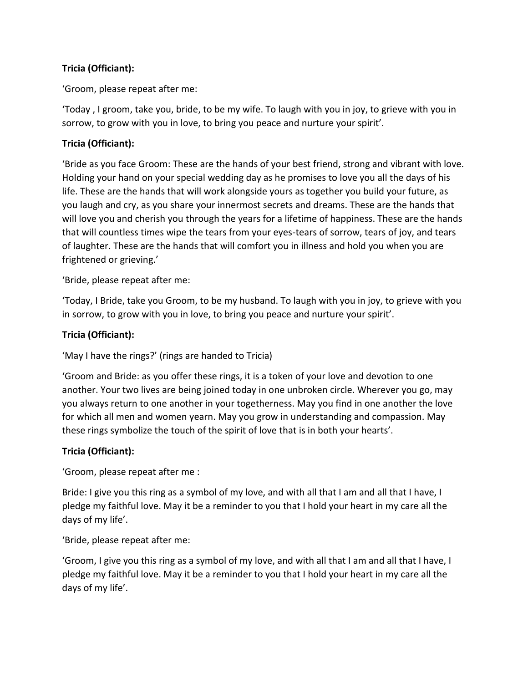### **Tricia (Officiant):**

'Groom, please repeat after me:

'Today , I groom, take you, bride, to be my wife. To laugh with you in joy, to grieve with you in sorrow, to grow with you in love, to bring you peace and nurture your spirit'.

### **Tricia (Officiant):**

'Bride as you face Groom: These are the hands of your best friend, strong and vibrant with love. Holding your hand on your special wedding day as he promises to love you all the days of his life. These are the hands that will work alongside yours as together you build your future, as you laugh and cry, as you share your innermost secrets and dreams. These are the hands that will love you and cherish you through the years for a lifetime of happiness. These are the hands that will countless times wipe the tears from your eyes-tears of sorrow, tears of joy, and tears of laughter. These are the hands that will comfort you in illness and hold you when you are frightened or grieving.'

'Bride, please repeat after me:

'Today, I Bride, take you Groom, to be my husband. To laugh with you in joy, to grieve with you in sorrow, to grow with you in love, to bring you peace and nurture your spirit'.

### **Tricia (Officiant):**

'May I have the rings?' (rings are handed to Tricia)

'Groom and Bride: as you offer these rings, it is a token of your love and devotion to one another. Your two lives are being joined today in one unbroken circle. Wherever you go, may you always return to one another in your togetherness. May you find in one another the love for which all men and women yearn. May you grow in understanding and compassion. May these rings symbolize the touch of the spirit of love that is in both your hearts'.

#### **Tricia (Officiant):**

'Groom, please repeat after me :

Bride: I give you this ring as a symbol of my love, and with all that I am and all that I have, I pledge my faithful love. May it be a reminder to you that I hold your heart in my care all the days of my life'.

'Bride, please repeat after me:

'Groom, I give you this ring as a symbol of my love, and with all that I am and all that I have, I pledge my faithful love. May it be a reminder to you that I hold your heart in my care all the days of my life'.